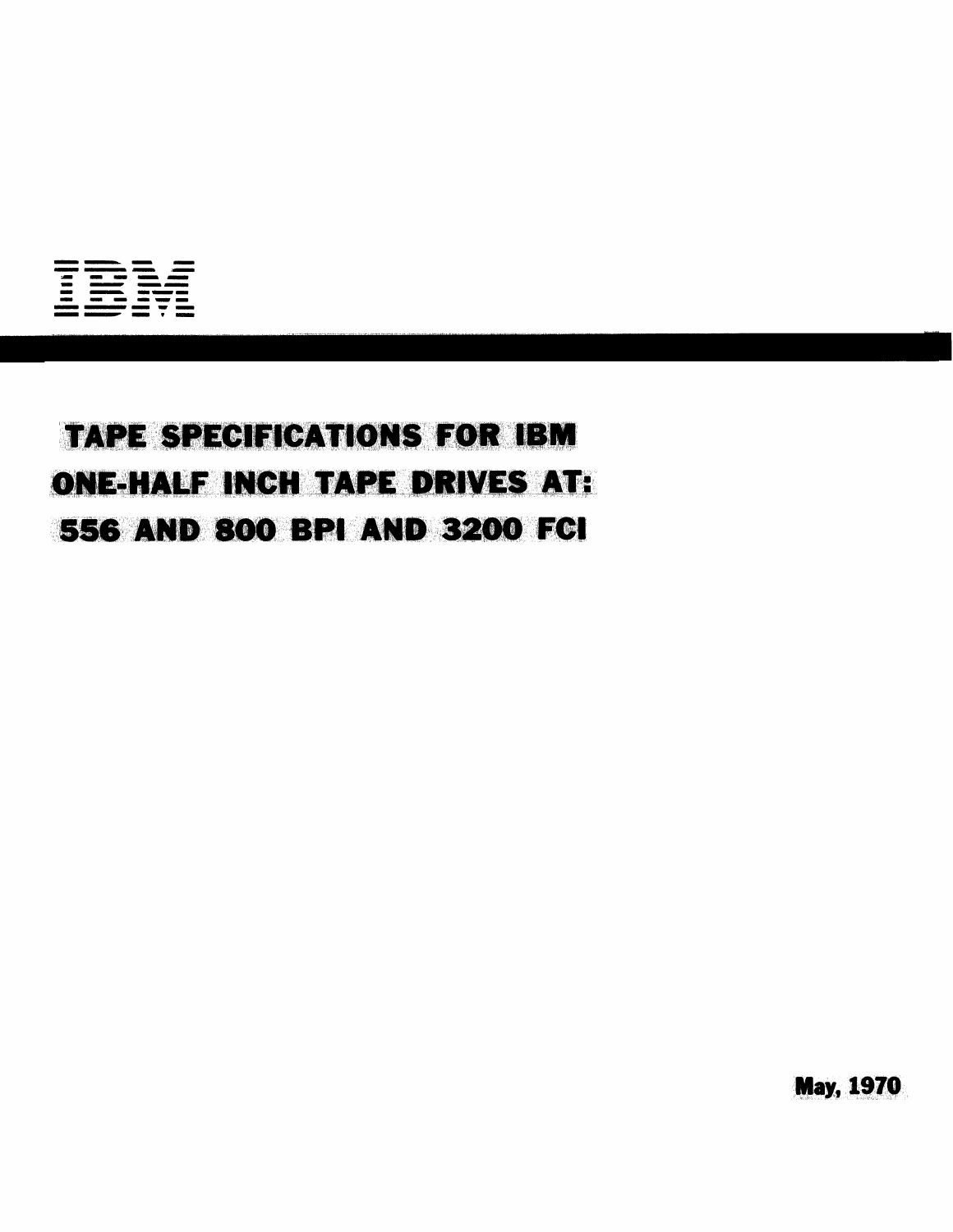IBM

# **TAPE SPECIFICATIONS FOR IBM** ONE-HALF INCH TAPE DRIVES ATH 556 AND 800 BPI AND 3200 FCI

**May, 1970**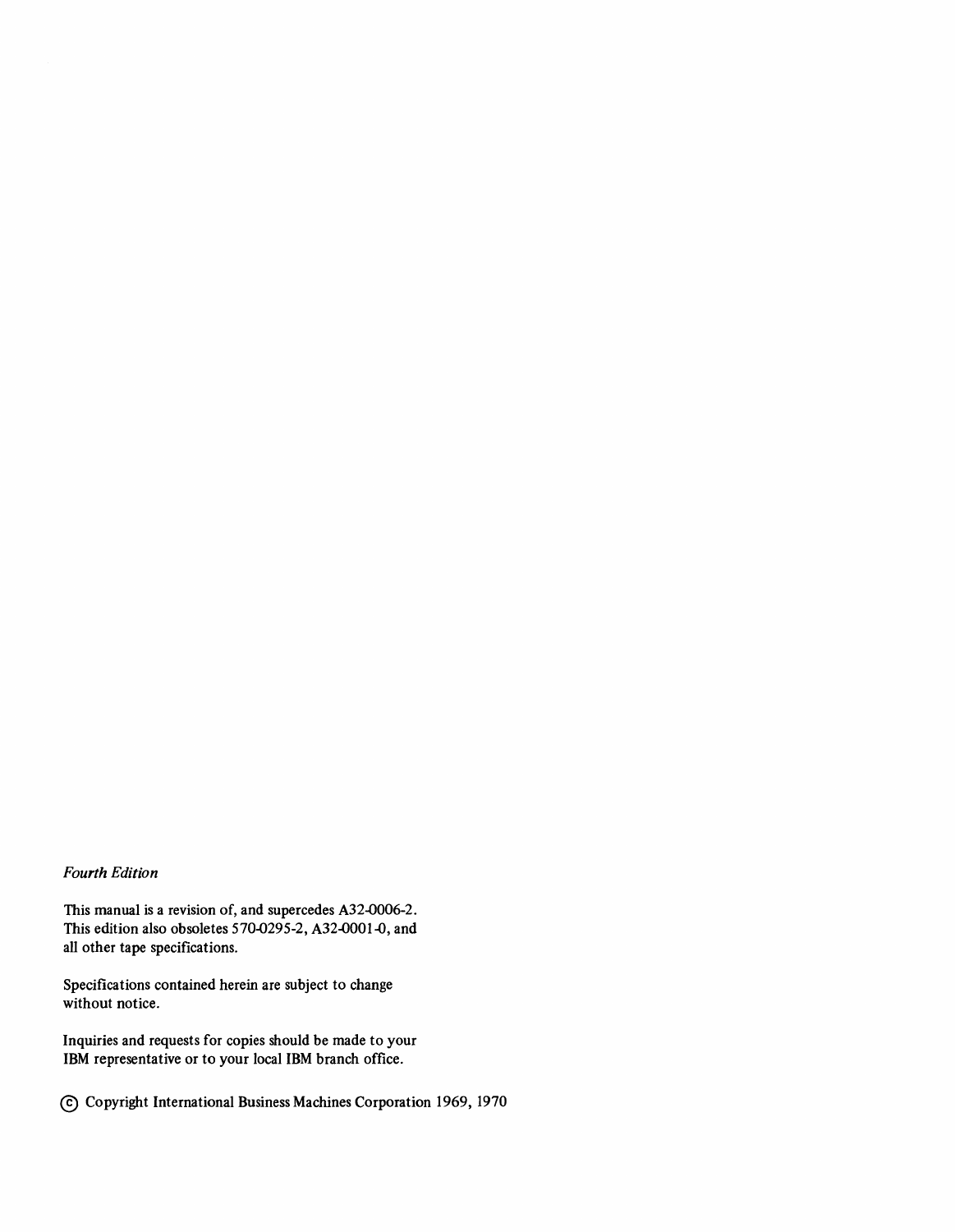# *Fourth Edition*

This manual is a revision of, and supercedes A32-0006-2. This edition also obsoletes 570-0295-2, A32-0001-0, and all other tape specifications.

Specifications contained herein are subject to change without notice.

Inquiries and requests for copies should be made to your IBM representative or to your local IBM branch office.

© Copyright International Business Machines Corporation 1969, 1970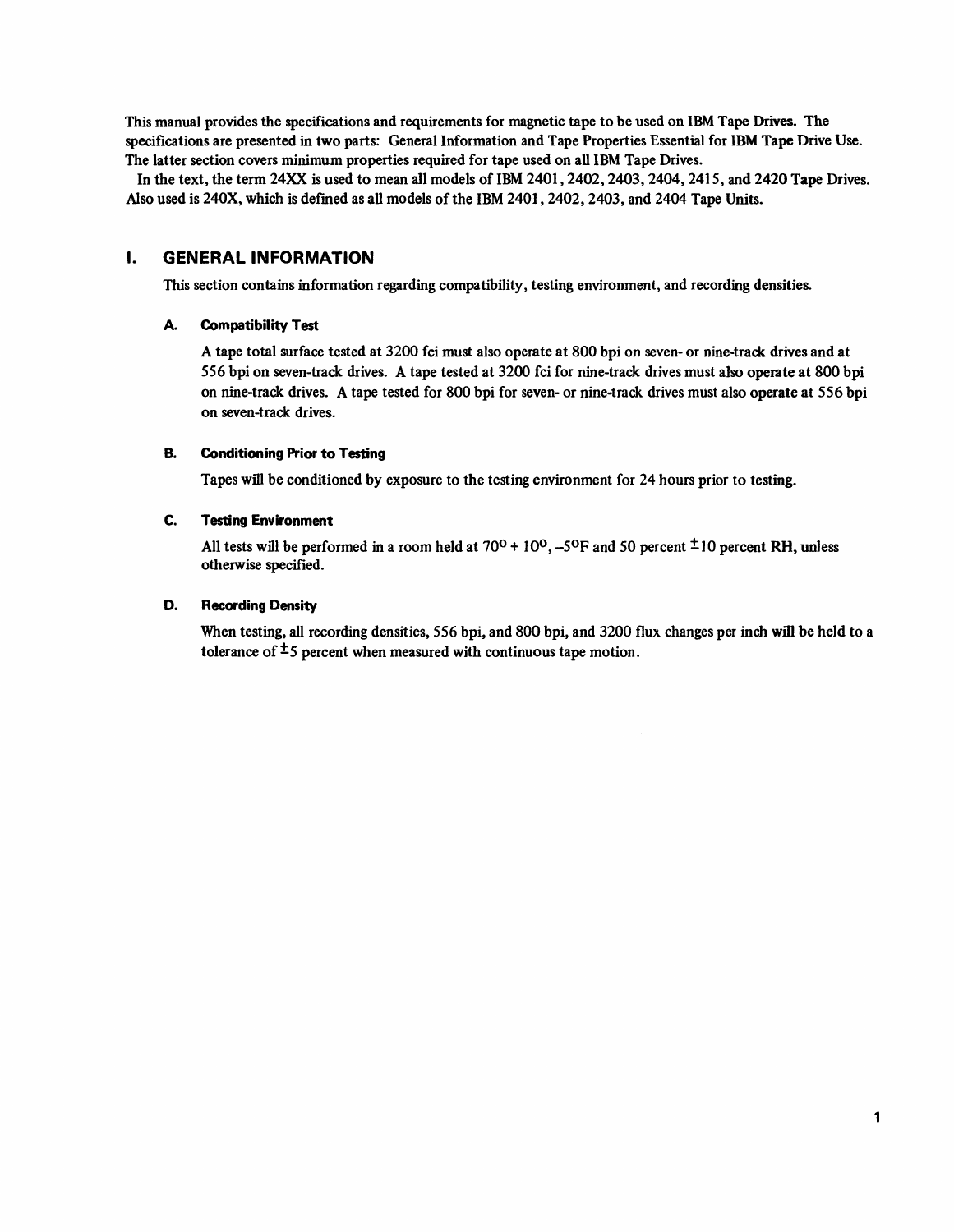This manual provides the specifications and requirements for magnetic tape to be used on IBM Tape Drives. The specifications are presented in two parts: General Information and Tape Properties Essential for IBM Tape Drive Use. The latter section covers minimum properties required for tape used on all IBM Tape Drives.

In the text, the term 24XX is used to mean all models of IBM 2401, 2402, 2403, 2404, 2415, and 2420 Tape Drives. Also used is 240X, which is defined as all models of the IBM 2401, 2402, 2403, and 2404 Tape Units.

# I. GENERAL INFORMATION

This section contains information regarding compatibility, testing environment, and recording densities.

## A. Compatibility Test

A tape total surface tested at 3200 fci must also operate at 800 bpi on seven- or nine-track drives and at *556* bpi on seven-track drives. A tape tested at 3200 fci for nine-track drives must also operate at 800 bpi on nine-track drives. A tape tested for 800 bpi for seven- or nine-track drives must also operate at 556 bpi on seven-track drives.

## B. Conditioning Prior to Testing

Tapes will be conditioned by exposure to the testing environment for 24 hours prior to testing.

## C. Testing Environment

All tests will be performed in a room held at  $70^{\circ}$  +  $10^{\circ}$ , -5°F and 50 percent  $\pm$ 10 percent RH, unless otherwise specified.

## D. Recording Density

When testing, all recording densities, *556* bpi, and 800 bpi, and 3200 flux changes per inch will be held to a tolerance of  $\pm$ 5 percent when measured with continuous tape motion.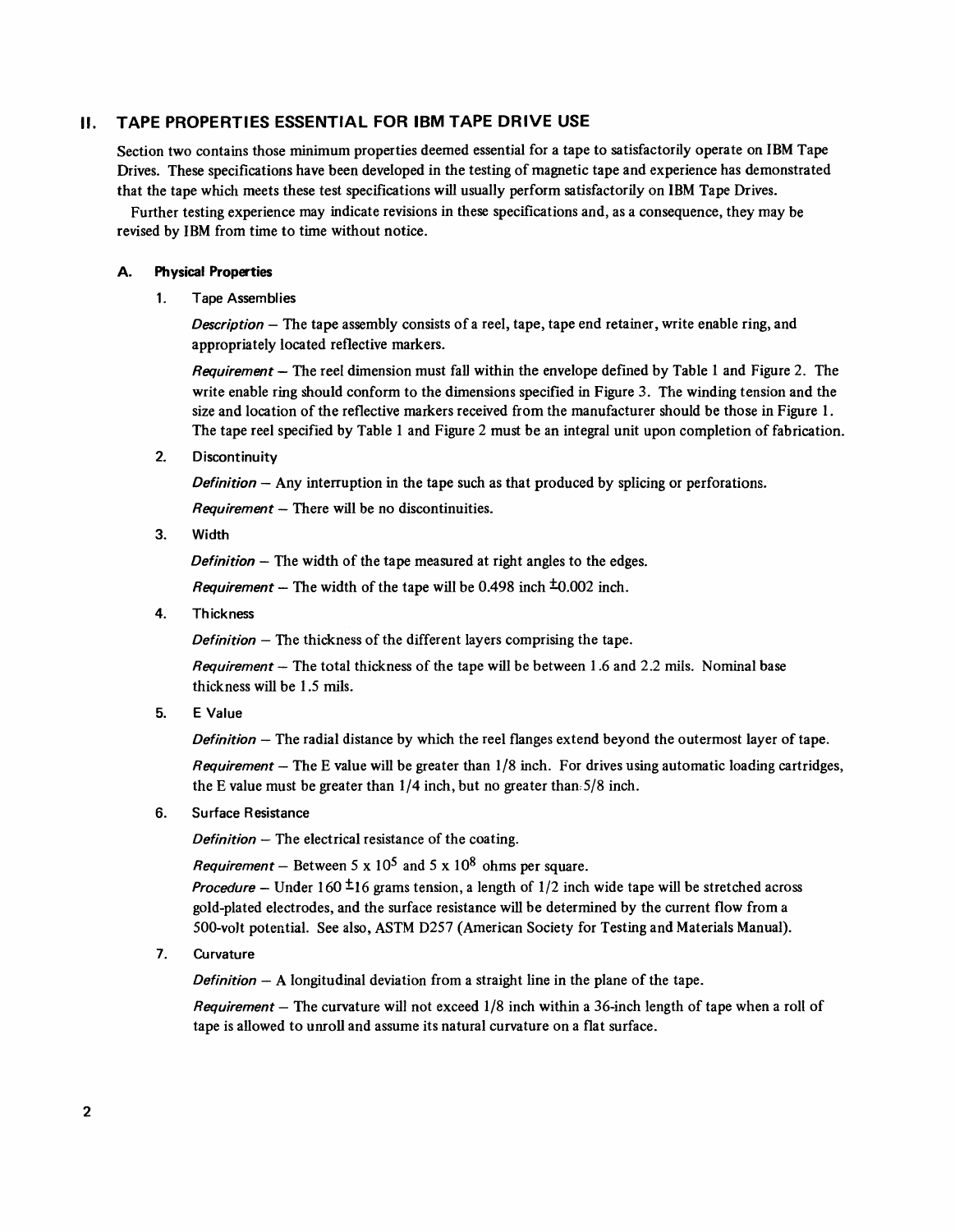## **11. TAPE PROPERTIES ESSENTIAL FOR IBM TAPE DRIVE USE**

Section two contains those minimum properties deemed essential for a tape to satisfactorily operate on IBM Tape Drives. These specifications have been developed in the testing of magnetic tape and experience has demonstrated that the tape which meets these test specifications will usually perform satisfactorily on IBM Tape Drives.

Further testing experience may indicate revisions in these specifications and, as a consequence, they may be revised by IBM from time to time without notice.

#### **A. Physical Properties**

1. Tape Assemblies

*Description*  $-$  The tape assembly consists of a reel, tape, tape end retainer, write enable ring, and appropriately located reflective markers.

Requirement  $-$  The reel dimension must fall within the envelope defined by Table 1 and Figure 2. The write enable ring should conform to the dimensions specified in Figure 3. The winding tension and the size and location of the reflective markers received from the manufacturer should be those in Figure I. The tape reel specified by Table I and Figure 2 must be an integral unit upon completion of fabrication.

2. Discontinuity

Definition  $-$  Any interruption in the tape such as that produced by splicing or perforations.

 $Required - There will be no discontinuities.$ 

3. Width

Definition  $-$  The width of the tape measured at right angles to the edges.

*Requirement* – The width of the tape will be 0.498 inch  $\pm$ 0.002 inch.

4. Thickness

 $Definition - The thickness of the different layers comprising the tape.$ 

Requirement  $-$  The total thickness of the tape will be between 1.6 and 2.2 mils. Nominal base thickness will be 1.5 mils.

5. E Value

Definition  $-$  The radial distance by which the reel flanges extend beyond the outermost layer of tape.

Requirement  $-$  The E value will be greater than  $1/8$  inch. For drives using automatic loading cartridges, the E value must be greater than  $1/4$  inch, but no greater than  $5/8$  inch.

6. Surface Resistance

Definition  $-$  The electrical resistance of the coating.

Requirement – Between 5 x  $10^5$  and 5 x  $10^8$  ohms per square.

*Procedure* – Under 160  $\pm$ 16 grams tension, a length of 1/2 inch wide tape will be stretched across gold-plated electrodes, and the surface resistance will be determined by the current flow from a 500-voJt potential. See also, ASTM D257 (American Society for Testing and Materials Manual).

7. Curvature

Definition  $-$  A longitudinal deviation from a straight line in the plane of the tape.

Requirement  $-$  The curvature will not exceed  $1/8$  inch within a 36-inch length of tape when a roll of tape is allowed to unroll and assume its natural curvature on a flat surface.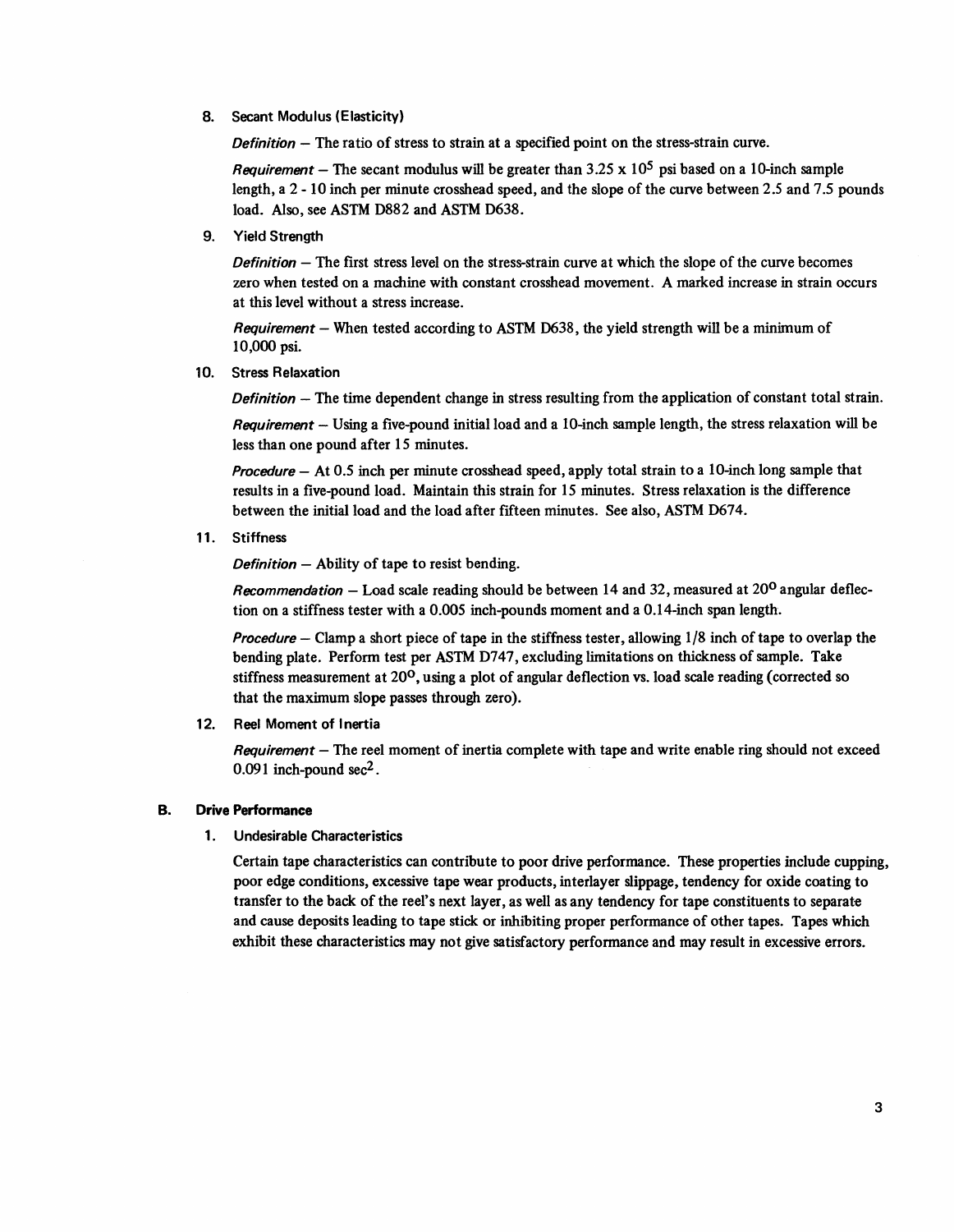8. Secant Modulus (Elasticity)

 $Definition - The ratio of stress to strain at a specified point on the stress-strain curve.$ 

*Requirement* – The secant modulus will be greater than 3.25 x 10<sup>5</sup> psi based on a 10-inch sample length, a 2 - 10 inch per minute crosshead speed, and the slope of the curve between 2.5 and 7.5 pounds load. Also, see ASTM D882 and ASTM D638.

9. Yield Strength

 $Definition - The first stress level on the stress-strain curve at which the slope of the curve becomes$ zero when tested on a machine with constant crosshead movement. A marked increase in strain occurs at this level without a stress increase.

 $Requirement - When tested according to ASTM D638, the yield strength will be a minimum of$ 10,000 psi.

10. Stress Relaxation

Definition - The time dependent change in stress resulting from the application of constant total strain.

Requirement  $-$  Using a five-pound initial load and a 10-inch sample length, the stress relaxation will be less than one pound after 15 minutes.

Procedure - At 0.5 inch per minute crosshead speed, apply total strain to a 10-inch long sample that results in a five-pound load. Maintain this strain for 15 minutes. Stress relaxation is the difference between the initial load and the load after fifteen minutes. See also, ASTM D674.

11. Stiffness

Definition  $-$  Ability of tape to resist bending.

Recommendation  $-$  Load scale reading should be between 14 and 32, measured at 20<sup>0</sup> angular deflection on a stiffness tester with a 0.005 inch-pounds moment and a 0.14-inch span length.

**Procedure** – Clamp a short piece of tape in the stiffness tester, allowing  $1/8$  inch of tape to overlap the bending plate. Perform test per ASTM D747, excluding limitations on thickness of sample. Take stiffness measurement at 20°, using a plot of angular deflection vs. load scale reading (corrected so that the maximum slope passes through zero).

12. Reel Moment of Inertia

 $Reguirement - The real moment of inertia complete with tape and write enable ring should not exceed$  $0.091$  inch-pound sec<sup>2</sup>.

#### B. Drive Performance

1. Undesirable Characteristics

Certain tape characteristics can contribute to poor drive performance. These properties include cupping, poor edge conditions, excessive tape wear products, interlayer slippage, tendency for oxide coating to transfer to the back of the reel's next layer, as well as any tendency for tape constituents to separate and cause deposits leading to tape stick or inhibiting proper performance of other tapes. Tapes which exhibit these characteristics may not give satisfactory performance and may result in excessive errors.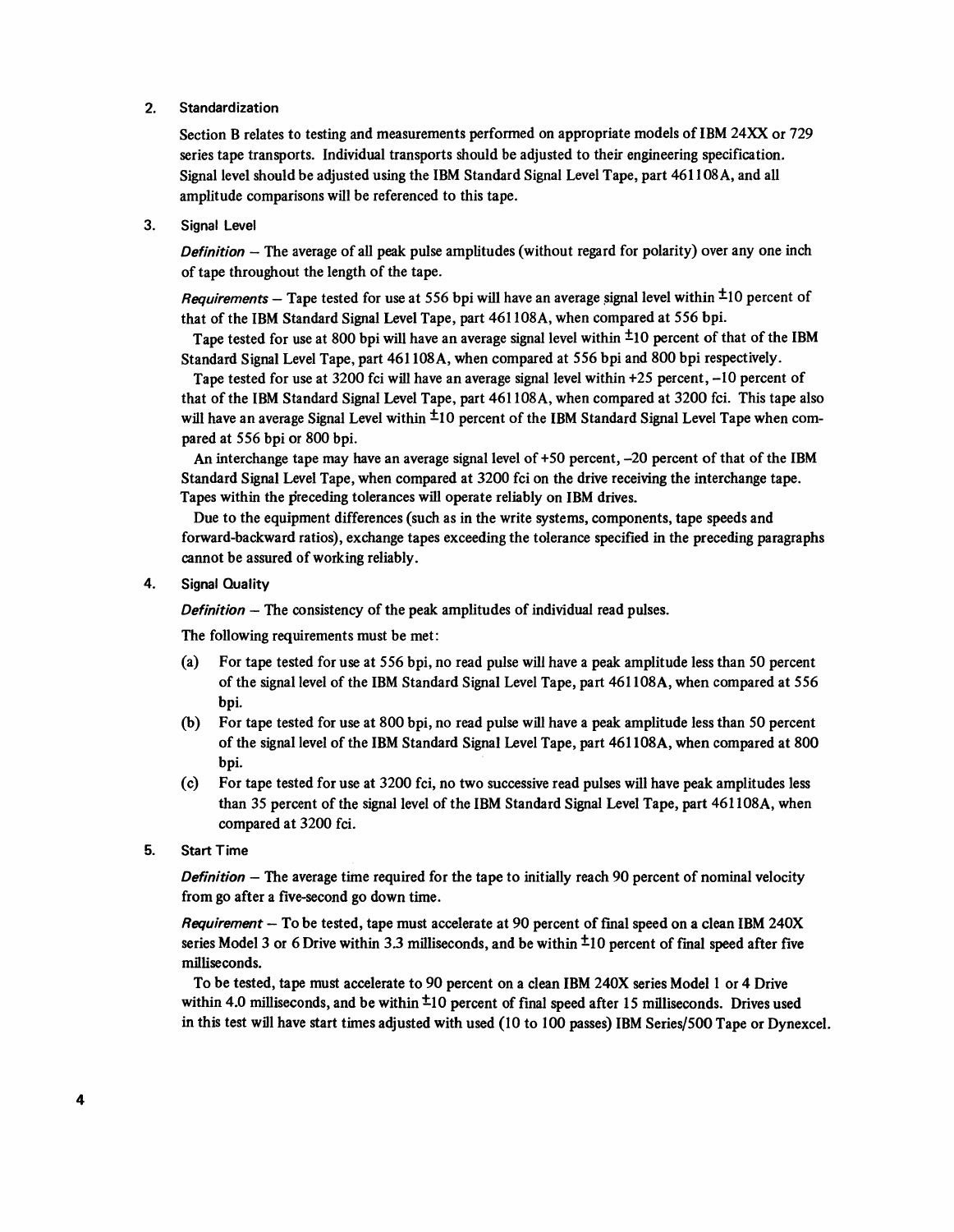#### 2. Standardization

Section B relates to testing and measurements performed on appropriate models of IBM 24XX or 729 series tape transports. Individual transports should be adjusted to their engineering specification. Signal level should be adjusted using the IBM Standard Signal Level Tape, part 461108A, and all amplitude comparisons will be referenced to this tape.

3. Signal Level

Definition  $-$  The average of all peak pulse amplitudes (without regard for polarity) over any one inch of tape throughout the length of the tape.

Requirements - Tape tested for use at 556 bpi will have an average signal level within  $\pm 10$  percent of that of the IBM Standard Signal Level Tape, part 461108A, when compared at 556 bpi.

Tape tested for use at 800 bpi will have an average signal level within  $\pm 10$  percent of that of the IBM Standard Signal Level Tape, part 461108A, when compared at 556 bpi and 800 bpi respectively.

Tape tested for use at 3200 fci will have an average signal level within +25 percent, -10 percent of that of the IBM Standard Signal Level Tape, part 461108A, when compared at 3200 fci. This tape also will have an average Signal Level within  $\pm 10$  percent of the IBM Standard Signal Level Tape when compared at 556 bpi or BOO bpi.

An interchange tape may have an average signal level of +50 percent, -20 percent of that of the IBM Standard Signal Level Tape, when compared at 3200 fci on the drive receiving the interchange tape. Tapes within the preceding tolerances will operate reliably on IBM drives.

Due to the equipment differences (such as in the write systems, components, tape speeds and forward-backward ratios), exchange tapes exceeding the tolerance specified in the preceding paragraphs cannot be assured of working reliably.

4. Signal Quality

Definition  $-$  The consistency of the peak amplitudes of individual read pulses.

The following requirements must be met:

- (a) For tape tested for use at 556 bpi, no read pulse will have a peak amplitude less than 50 percent of the signal level of the IBM Standard Signal Level Tape, part 461 IOBA, when compared at 556 bpi.
- (b) For tape tested for use at BOO bpi, no read pulse will have a peak amplitude less than 50 percent of the signal level of the IBM Standard Signal Level Tape, part 461108A, when compared at 800 bpi.
- ( c) For tape tested for use at 3200 fci, no two successive read pulses will have peak amplitudes less than 35 percent of the signal level of the IBM Standard Signal Level Tape, part 461108A, when compared at 3200 fci.
- 5. Start Time

 $Definition - The average time required for the tape to initially reach 90 percent of nominal velocity$ from go after a five-second go down time.

Requirement - To be tested, tape must accelerate at 90 percent of final speed on a clean IBM 240X series Model 3 or 6 Drive within 3.3 milliseconds, and be within  $\pm 10$  percent of final speed after five milliseconds.

To be tested, tape must accelerate to 90 percent on a clean IBM 240X series Model 1 or 4 Drive within 4.0 milliseconds, and be within  $\pm 10$  percent of final speed after 15 milliseconds. Drives used in this test will have start times adjusted with used (10 to 100 passes) IBM Series/500 Tape or Dynexcel.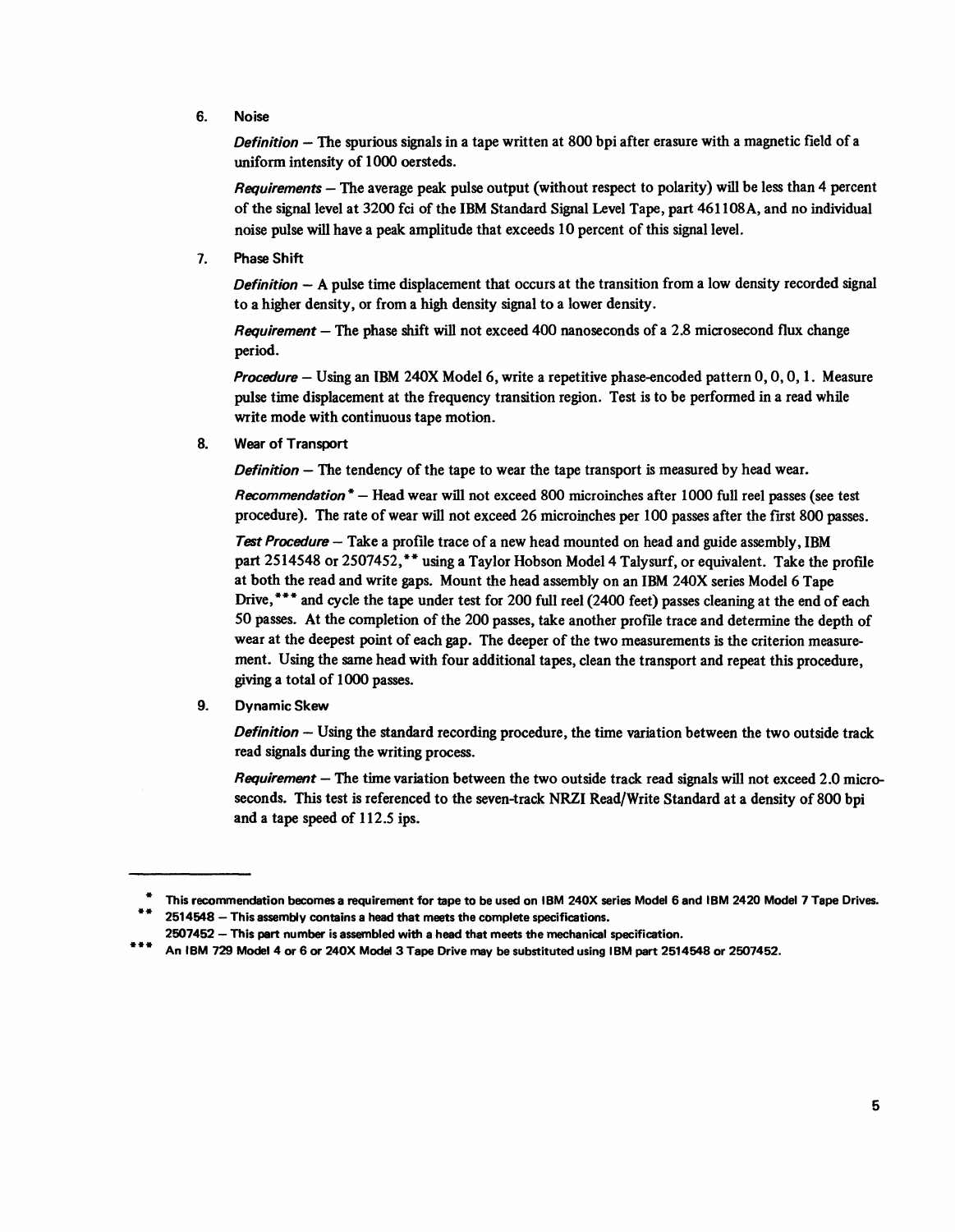6. Noise

Definition  $-$  The spurious signals in a tape written at 800 bpi after erasure with a magnetic field of a uniform intensity of 1000 oersteds.

Requirements - The average peak pulse output (without respect to polarity) will be less than 4 percent of the signal level at 3200 fci of the IBM Standard Signal Level Tape, part 461108A, and no individual noise pulse will have a peak amplitude that exceeds 10 percent of this signal level.

7. Phase Shift

**Definition**  $-$  **A pulse time displacement that occurs at the transition from a low density recorded signal** to a higher density, or from a high density signal to a lower density.

Requirement  $-$  The phase shift will not exceed 400 nanoseconds of a 2.8 microsecond flux change period.

**Procedure** - Using an IBM 240X Model 6, write a repetitive phase-encoded pattern  $0, 0, 0, 1$ . Measure pulse time displacement at the frequency transition region. Test is to be performed in a read while write mode with continuous tape motion.

8. Wear of Transport

 $Definition - The tendency of the tape to wear the tape transport is measured by head wear.$ 

Recommendation\* - Head wear will not exceed 800 microinches after 1000 full reel passes (see test procedure). The rate of wear will not exceed 26 microinches per 100 passes after the first 800 passes.

Test Procedure - Take a profile trace of a new head mounted on head and guide assembly, IBM part 2514548 or 2507452, \*\*using a Taylor Hobson Model 4 Talysurf, or equivalent. Take the profile at both the read and write gaps. Mount the head assembly on an IBM 240X series Model 6 Tape Drive,\*\*\* and cycle the tape under test for 200 full reel (2400 feet) passes cleaning at the end of each 50 passes. At the completion of the 200 passes, take another profile trace and determine the depth of wear at the deepest point of each gap. The deeper of the two measurements is the criterion measurement. Using the same head with four additional tapes, clean the transport and repeat this procedure, giving a total of I 000 passes.

9. Dynamic Skew

 $Definition - Using the standard recording procedure, the time variation between the two outside track$ read signals during the writing process.

Requirement - The time variation between the two outside track read signals will not exceed  $2.0$  microseconds. This test is referenced to the seven-track NRZI Read/Write Standard at a density of 800 bpi and a tape speed of 112.5 ips.

<sup>\*</sup> This recommendation becomes a requirement for tape to be used on IBM 240X series Model 6 and IBM 2420 Model 7 Tape Drives. \*\* 2514548 - This assembly contains a head that meets the complete specifications.

<sup>2507452 -</sup> This part number is assembled with a head that meets the mechanical specification.

An IBM 729 Model 4 or 6 or 240X Model 3 Tape Drive may be substituted using IBM part 2514548 or 2507452.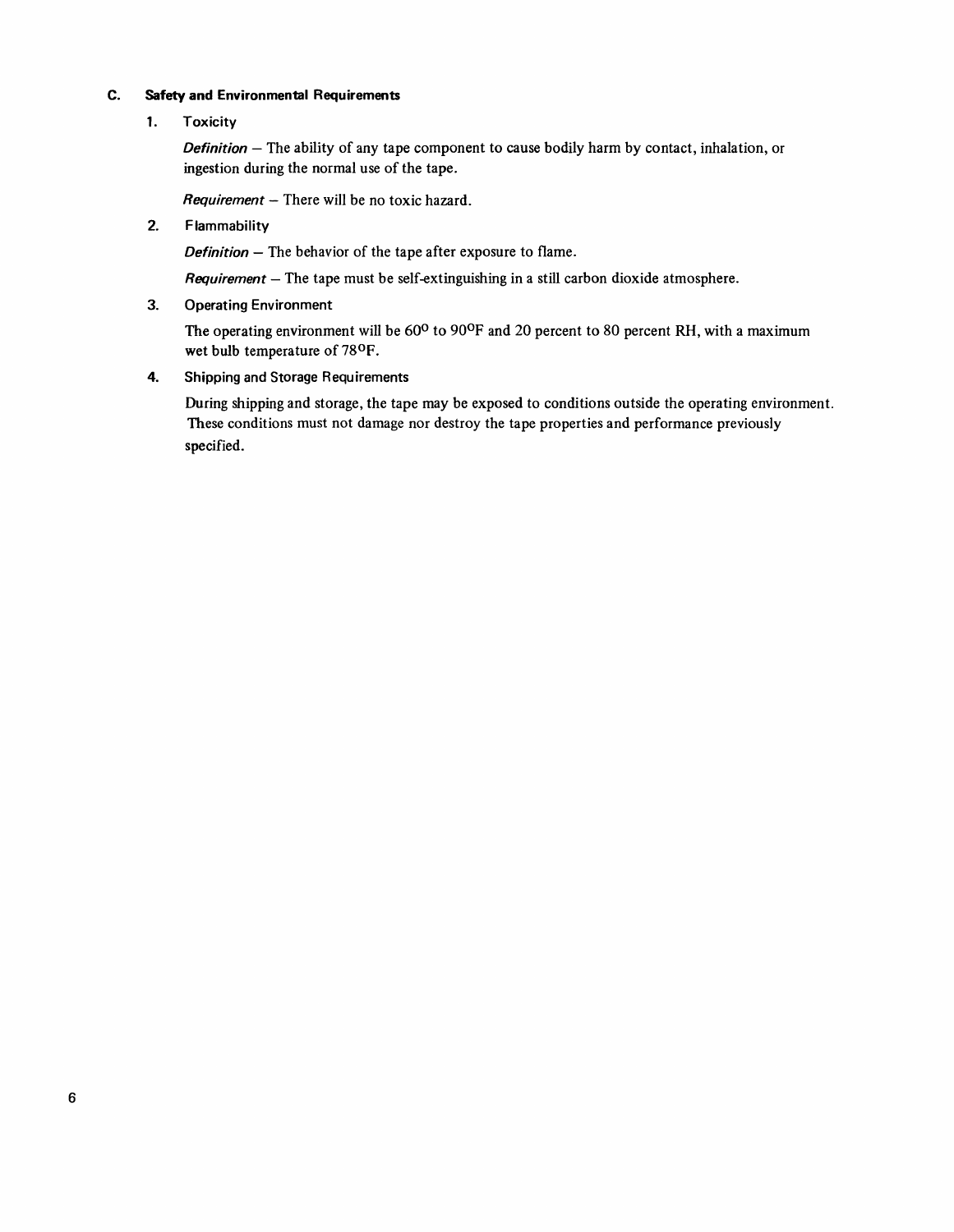### **C. Safety and Environmental Requirements**

**1.** Toxicity

**Definition**  $-$  The ability of any tape component to cause bodily harm by contact, inhalation, or ingestion during the normal use of the tape.

 $Required - There will be no toxic hazard.$ 

2. Flammability

**Definition**  $-$  The behavior of the tape after exposure to flame.

 $Required - The tape must be self-extinguishing in a still carbon dioxide atmosphere.$ 

3. Operating Environment

The operating environment will be 60<sup>o</sup> to 90<sup>o</sup>F and 20 percent to 80 percent RH, with a maximum wet bulb temperature of 78<sup>o</sup>F.

**4.** Shipping and Storage Requirements

During shipping and storage, the tape may be exposed to conditions outside the operating environment. These conditions must not damage nor destroy the tape properties and performance previously specified.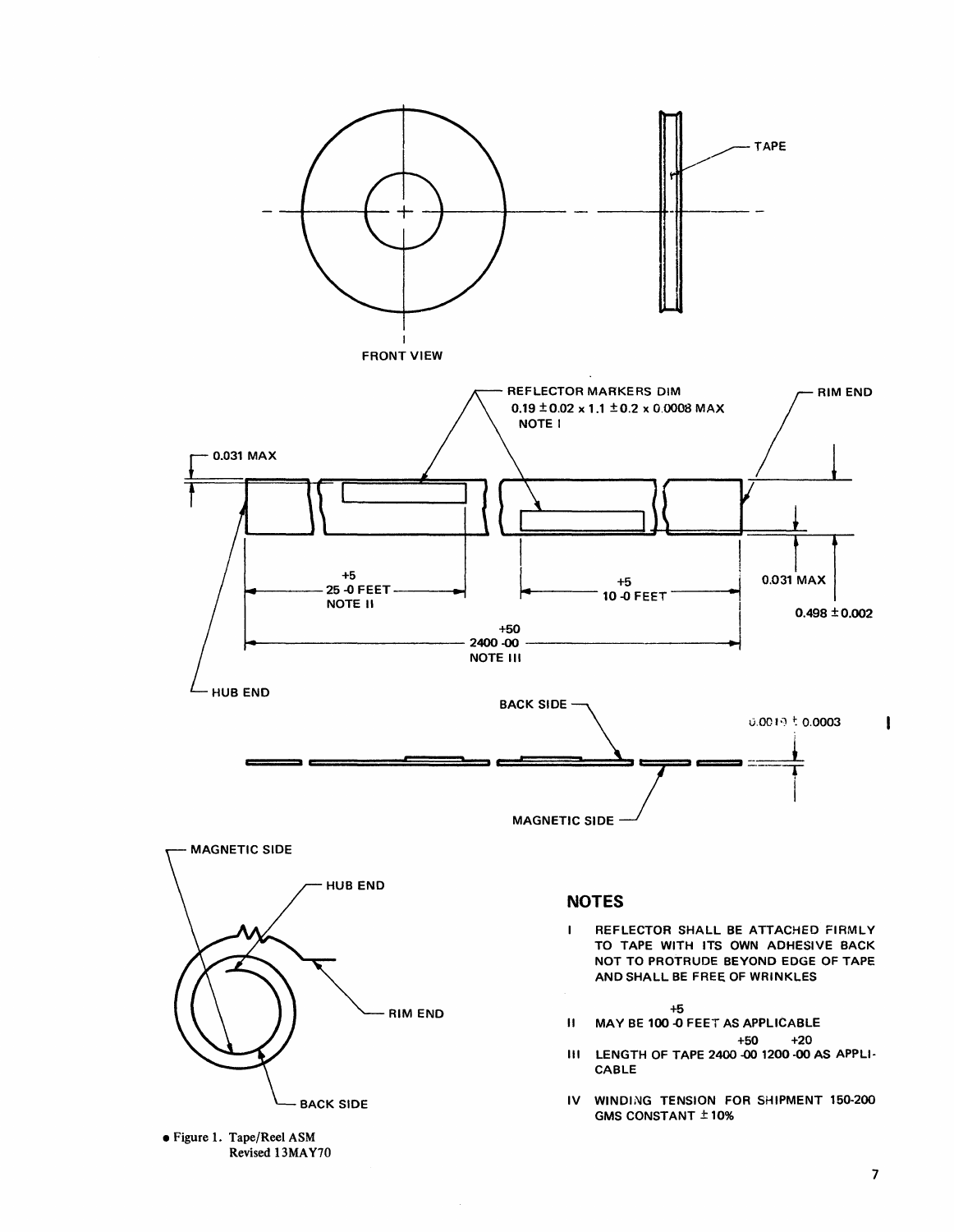

• Figure 1. Tape/Reel ASM Revised 13MAY70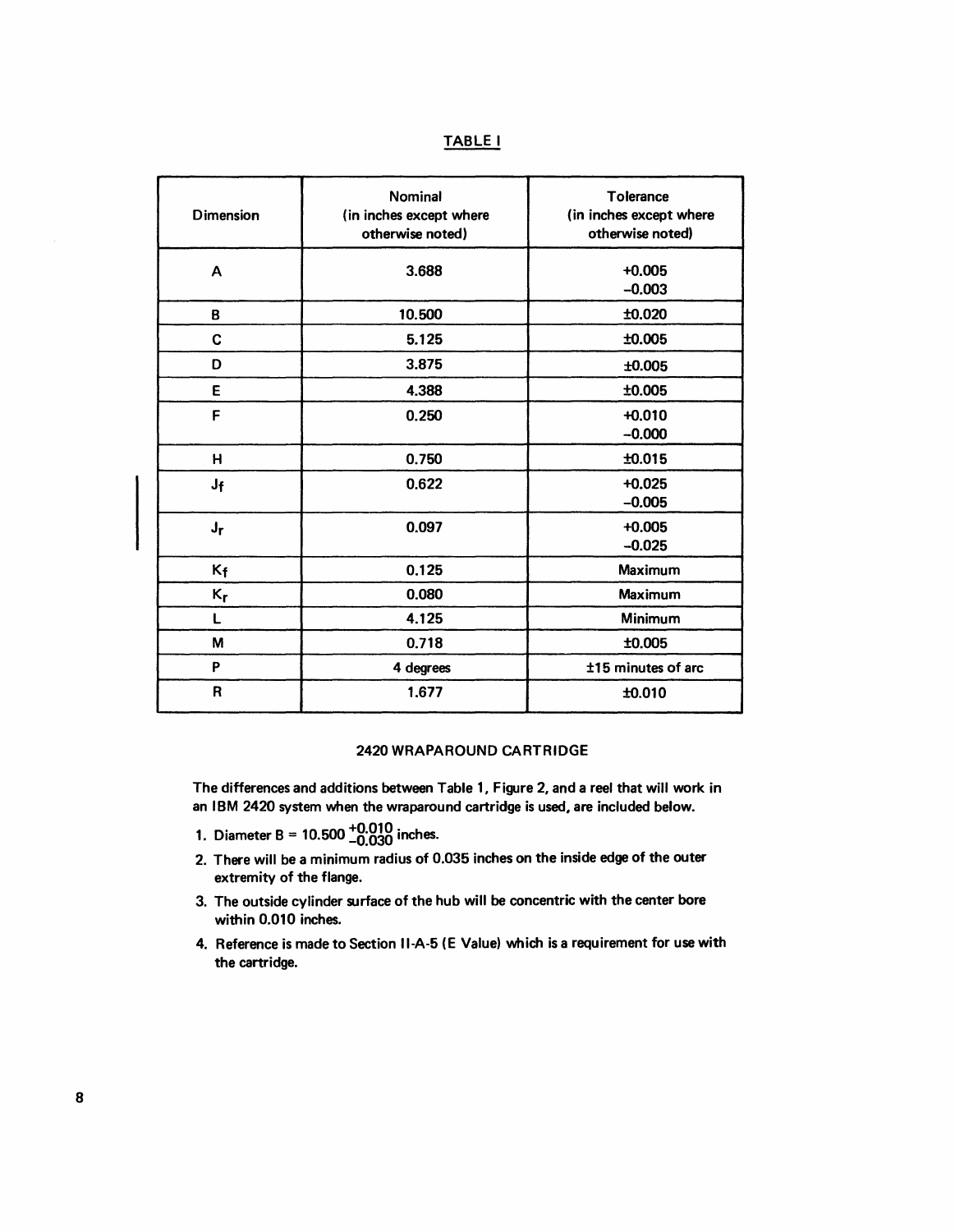TABLE I

| Dimension        | Nominal<br>(in inches except where<br>otherwise noted) | <b>Tolerance</b><br>(in inches except where<br>otherwise noted) |
|------------------|--------------------------------------------------------|-----------------------------------------------------------------|
| A                | 3.688                                                  | $+0.005$<br>$-0.003$                                            |
| B                | 10.500                                                 | ±0.020                                                          |
| C                | 5.125                                                  | ±0.005                                                          |
| D                | 3.875                                                  | ±0.005                                                          |
| E                | 4.388                                                  | ±0.005                                                          |
| F                | 0.250                                                  | $+0.010$<br>$-0.000$                                            |
| H                | 0.750                                                  | ±0.015                                                          |
| Jf               | 0.622                                                  | $+0.025$<br>$-0.005$                                            |
| $J_{\mathbf{r}}$ | 0.097                                                  | $+0.005$<br>$-0.025$                                            |
| $K_{\text{f}}$   | 0.125                                                  | Maximum                                                         |
| $K_{r}$          | 0.080                                                  | Maximum                                                         |
| L                | 4.125                                                  | Minimum                                                         |
| M                | 0.718                                                  | ±0.005                                                          |
| P                | 4 degrees                                              | ±15 minutes of arc                                              |
| R                | 1.677                                                  | ±0.010                                                          |

## 2420 WRAPAROUND CARTRIDGE

The differences and additions between Table 1, Figure 2, and a reel that will work in an IBM 2420 system when the wraparound cartridge is used, are included below.

- 1. Diameter B =  $10.500^{+0.010}_{-0.030}$  inches.
- 2. There will be a minimum radius of 0.035 inches on the inside edge of the outer extremity of the flange.
- 3. The outside cylinder surface of the hub will be concentric with the center bore within 0.010 inches.
- 4. Reference is made to Section 11-A-5 (E Value) which is a requirement for use with the cartridge.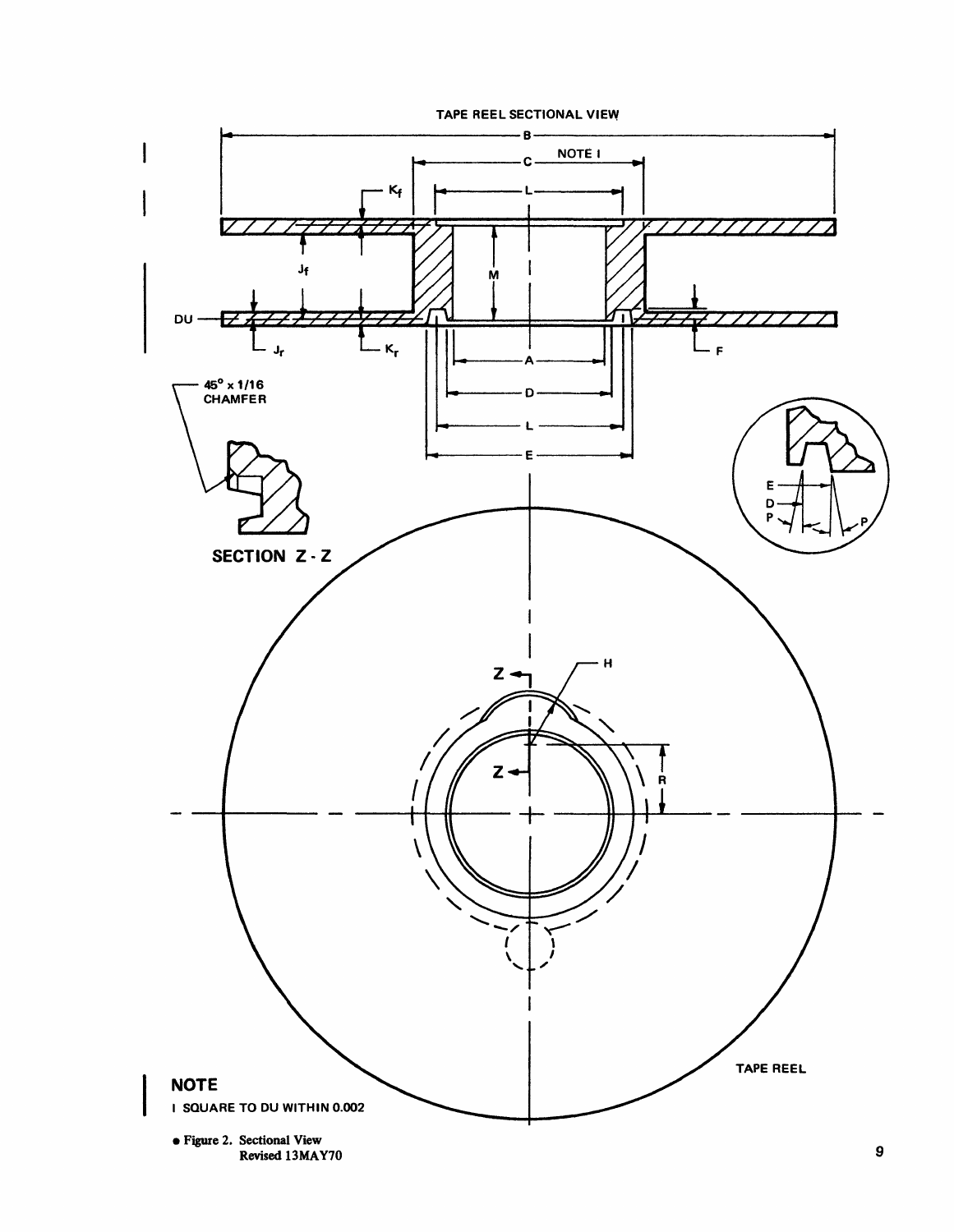

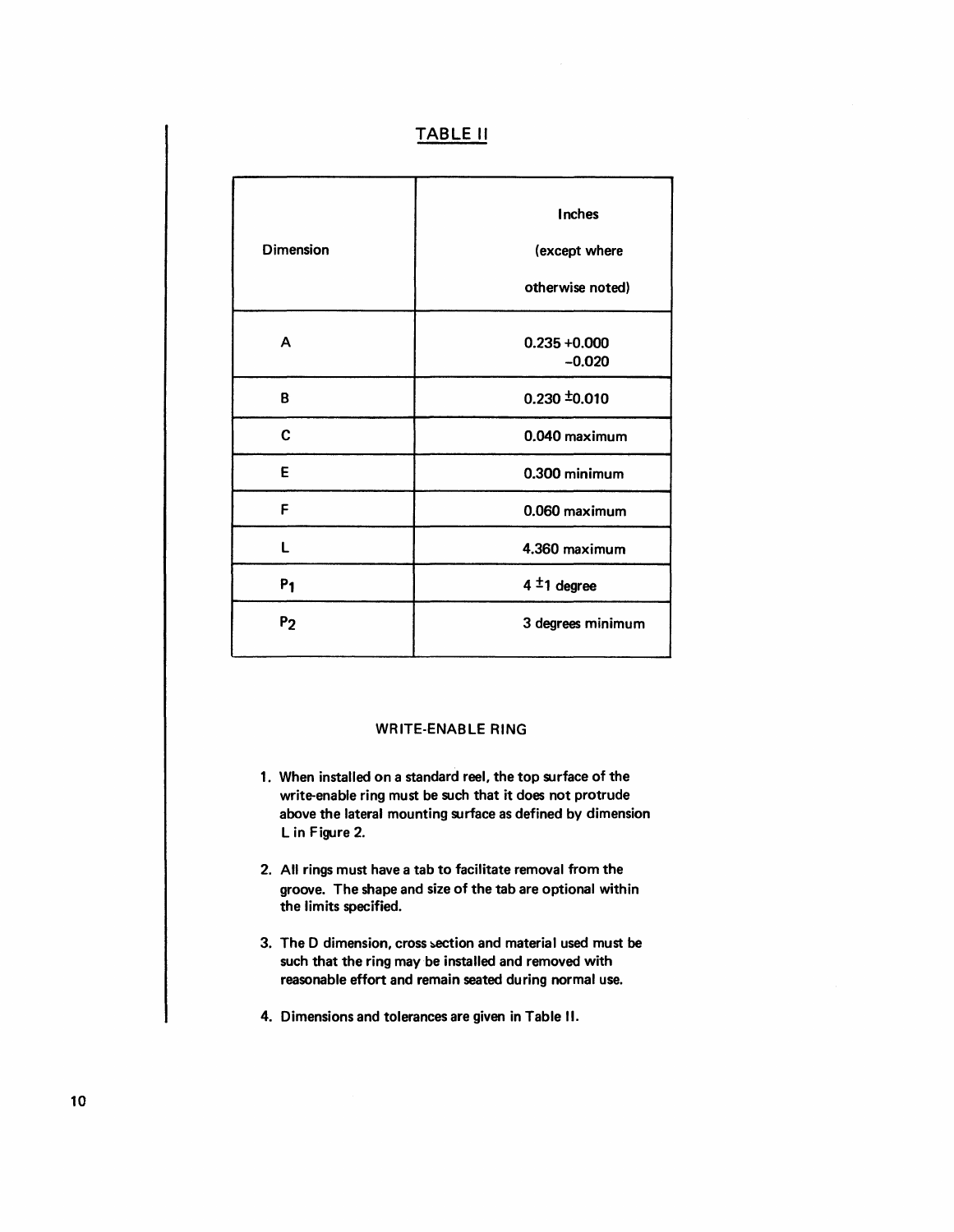# TABLE II

| <b>Dimension</b> | Inches<br>(except where<br>otherwise noted) |
|------------------|---------------------------------------------|
| A                | $0.235 + 0.000$<br>$-0.020$                 |
| B                | $0.230 \pm 0.010$                           |
| C                | 0.040 maximum                               |
| E                | 0.300 minimum                               |
| F                | 0.060 maximum                               |
| L                | 4.360 maximum                               |
| P <sub>1</sub>   | $4 \pm 1$ degree                            |
| P <sub>2</sub>   | 3 degrees minimum                           |

## WRITE-ENABLE RING

- 1. When installed on a standard reel, the top surface of the write-enable ring must be such that it does not protrude above the lateral mounting surface as defined by dimension Lin Figure 2.
- 2. All rings must have a tab to facilitate removal from the groove. The shape and size of the tab are optional within the limits specified.
- 3. The D dimension, cross section and material used must be such that the ring may be installed and removed with reasonable effort and remain seated during normal use.
- 4. Dimensions and tolerances are given in Table II.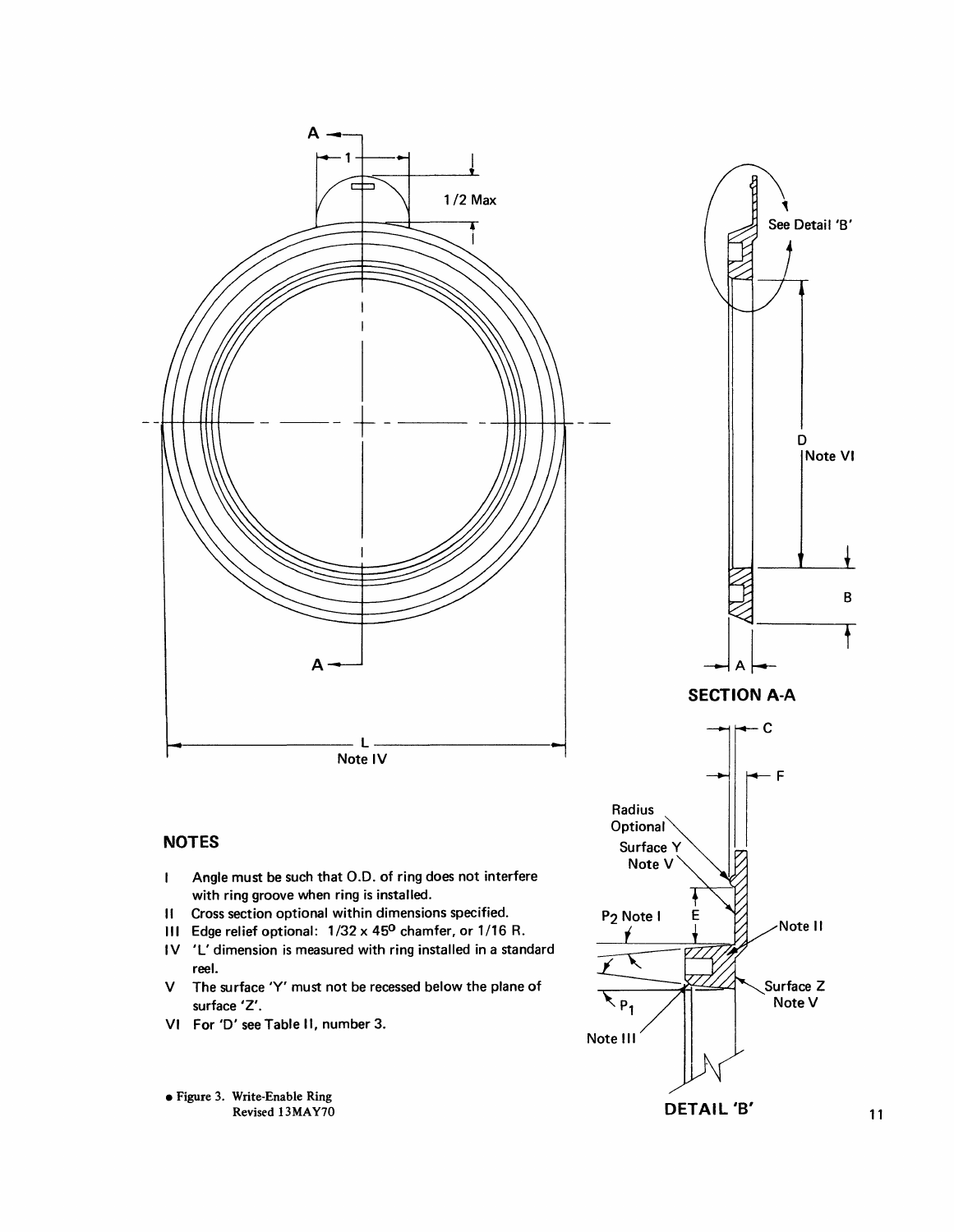

Revised 13MAY70

**DETAIL 'B'** 11